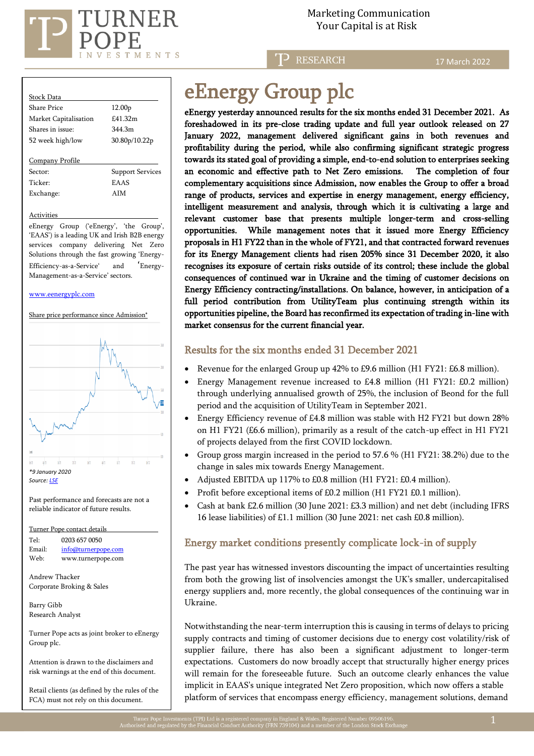

Marketing Communication

**P** RESEARCH

17 March 2022

| <b>Stock Data</b>     |                         |
|-----------------------|-------------------------|
| Share Price           | 12.00 <sub>p</sub>      |
| Market Capitalisation | £41.32m                 |
| Shares in issue:      | 344 3m                  |
| 52 week high/low      | 30.80p/10.22p           |
|                       |                         |
| Company Profile       |                         |
| Sector:               | <b>Support Services</b> |
| Ticker <sup>.</sup>   | <b>EAAS</b>             |
| Exchange:             | AIM                     |
|                       |                         |

**Activities** 

eEnergy Group ('eEnergy', 'the Group', 'EAAS') is a leading UK and Irish B2B energy services company delivering Net Zero Solutions through the fast growing 'Energy-Efficiency-as-a-Service' and 'Energy-Management-as-a-Service' sectors.

#### [www.eenergyplc.com](http://www.eenergyplc.com/)

Share price performance since Admission\*



Past performance and forecasts are not a reliable indicator of future results.

Turner Pope contact details

| Tel:   | 0203 657 0050       |
|--------|---------------------|
| Email: | info@turnerpope.com |
| Web:   | www.turnerpope.com  |

Andrew Thacker Corporate Broking & Sales

Barry Gibb Research Analyst

Turner Pope acts as joint broker to eEnergy Group plc.

Attention is drawn to the disclaimers and risk warnings at the end of this document.

Retail clients (as defined by the rules of the FCA) must not rely on this document.

# eEnergy Group plc

eEnergy yesterday announced results for the six months ended 31 December 2021. As foreshadowed in its pre-close trading update and full year outlook released on 27 January 2022, management delivered significant gains in both revenues and profitability during the period, while also confirming significant strategic progress towards its stated goal of providing a simple, end-to-end solution to enterprises seeking an economic and effective path to Net Zero emissions. The completion of four complementary acquisitions since Admission, now enables the Group to offer a broad range of products, services and expertise in energy management, energy efficiency, intelligent measurement and analysis, through which it is cultivating a large and relevant customer base that presents multiple longer-term and cross-selling opportunities. While management notes that it issued more Energy Efficiency proposals in H1 FY22 than in the whole of FY21, and that contracted forward revenues for its Energy Management clients had risen 205% since 31 December 2020, it also recognises its exposure of certain risks outside of its control; these include the global consequences of continued war in Ukraine and the timing of customer decisions on Energy Efficiency contracting/installations. On balance, however, in anticipation of a full period contribution from UtilityTeam plus continuing strength within its opportunities pipeline, the Board has reconfirmed its expectation of trading in-line with market consensus for the current financial year.

### Results for the six months ended 31 December 2021

- Revenue for the enlarged Group up 42% to £9.6 million (H1 FY21: £6.8 million).
- Energy Management revenue increased to £4.8 million (H1 FY21: £0.2 million) through underlying annualised growth of 25%, the inclusion of Beond for the full period and the acquisition of UtilityTeam in September 2021.
- Energy Efficiency revenue of £4.8 million was stable with H2 FY21 but down 28% on H1 FY21 (£6.6 million), primarily as a result of the catch-up effect in H1 FY21 of projects delayed from the first COVID lockdown.
- Group gross margin increased in the period to 57.6 % (H1 FY21: 38.2%) due to the change in sales mix towards Energy Management.
- Adjusted EBITDA up 117% to £0.8 million (H1 FY21: £0.4 million).
- Profit before exceptional items of £0.2 million (H1 FY21 £0.1 million).
- Cash at bank £2.6 million (30 June 2021: £3.3 million) and net debt (including IFRS 16 lease liabilities) of £1.1 million (30 June 2021: net cash £0.8 million).

## Energy market conditions presently complicate lock-in of supply

The past year has witnessed investors discounting the impact of uncertainties resulting from both the growing list of insolvencies amongst the UK's smaller, undercapitalised energy suppliers and, more recently, the global consequences of the continuing war in Ukraine.

Notwithstanding the near-term interruption this is causing in terms of delays to pricing supply contracts and timing of customer decisions due to energy cost volatility/risk of supplier failure, there has also been a significant adjustment to longer-term expectations. Customers do now broadly accept that structurally higher energy prices will remain for the foreseeable future. Such an outcome clearly enhances the value implicit in EAAS's unique integrated Net Zero proposition, which now offers a stable platform of services that encompass energy efficiency, management solutions, demand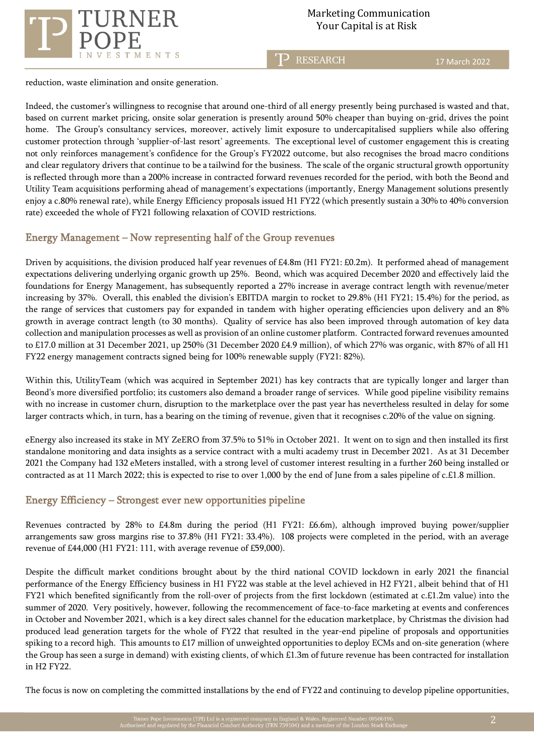

T<sup>P</sup> RESEARCH

reduction, waste elimination and onsite generation.

Indeed, the customer's willingness to recognise that around one-third of all energy presently being purchased is wasted and that, based on current market pricing, onsite solar generation is presently around 50% cheaper than buying on-grid, drives the point home. The Group's consultancy services, moreover, actively limit exposure to undercapitalised suppliers while also offering customer protection through 'supplier-of-last resort' agreements. The exceptional level of customer engagement this is creating not only reinforces management's confidence for the Group's FY2022 outcome, but also recognises the broad macro conditions and clear regulatory drivers that continue to be a tailwind for the business. The scale of the organic structural growth opportunity is reflected through more than a 200% increase in contracted forward revenues recorded for the period, with both the Beond and Utility Team acquisitions performing ahead of management's expectations (importantly, Energy Management solutions presently enjoy a c.80% renewal rate), while Energy Efficiency proposals issued H1 FY22 (which presently sustain a 30% to 40% conversion rate) exceeded the whole of FY21 following relaxation of COVID restrictions.

## Energy Management – Now representing half of the Group revenues

Driven by acquisitions, the division produced half year revenues of £4.8m (H1 FY21: £0.2m). It performed ahead of management expectations delivering underlying organic growth up 25%. Beond, which was acquired December 2020 and effectively laid the foundations for Energy Management, has subsequently reported a 27% increase in average contract length with revenue/meter increasing by 37%. Overall, this enabled the division's EBITDA margin to rocket to 29.8% (H1 FY21; 15.4%) for the period, as the range of services that customers pay for expanded in tandem with higher operating efficiencies upon delivery and an 8% growth in average contract length (to 30 months). Quality of service has also been improved through automation of key data collection and manipulation processes as well as provision of an online customer platform. Contracted forward revenues amounted to £17.0 million at 31 December 2021, up 250% (31 December 2020 £4.9 million), of which 27% was organic, with 87% of all H1 FY22 energy management contracts signed being for 100% renewable supply (FY21: 82%).

Within this, UtilityTeam (which was acquired in September 2021) has key contracts that are typically longer and larger than Beond's more diversified portfolio; its customers also demand a broader range of services. While good pipeline visibility remains with no increase in customer churn, disruption to the marketplace over the past year has nevertheless resulted in delay for some larger contracts which, in turn, has a bearing on the timing of revenue, given that it recognises c.20% of the value on signing.

eEnergy also increased its stake in MY ZeERO from 37.5% to 51% in October 2021. It went on to sign and then installed its first standalone monitoring and data insights as a service contract with a multi academy trust in December 2021. As at 31 December 2021 the Company had 132 eMeters installed, with a strong level of customer interest resulting in a further 260 being installed or contracted as at 11 March 2022; this is expected to rise to over 1,000 by the end of June from a sales pipeline of c.£1.8 million.

## Energy Efficiency – Strongest ever new opportunities pipeline

Revenues contracted by 28% to £4.8m during the period (H1 FY21: £6.6m), although improved buying power/supplier arrangements saw gross margins rise to 37.8% (H1 FY21: 33.4%). 108 projects were completed in the period, with an average revenue of £44,000 (H1 FY21: 111, with average revenue of £59,000).

Despite the difficult market conditions brought about by the third national COVID lockdown in early 2021 the financial performance of the Energy Efficiency business in H1 FY22 was stable at the level achieved in H2 FY21, albeit behind that of H1 FY21 which benefited significantly from the roll-over of projects from the first lockdown (estimated at c.£1.2m value) into the summer of 2020. Very positively, however, following the recommencement of face-to-face marketing at events and conferences in October and November 2021, which is a key direct sales channel for the education marketplace, by Christmas the division had produced lead generation targets for the whole of FY22 that resulted in the year-end pipeline of proposals and opportunities spiking to a record high. This amounts to £17 million of unweighted opportunities to deploy ECMs and on-site generation (where the Group has seen a surge in demand) with existing clients, of which £1.3m of future revenue has been contracted for installation in H2 FY22.

The focus is now on completing the committed installations by the end of FY22 and continuing to develop pipeline opportunities,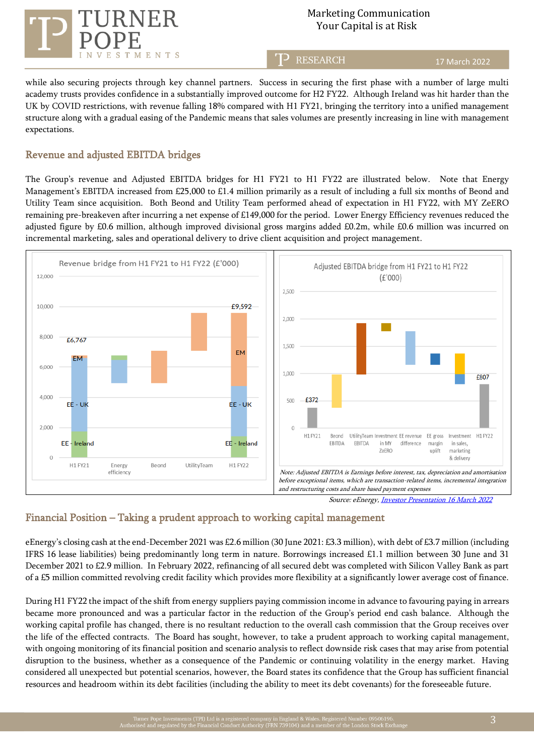

17 March 2022

while also securing projects through key channel partners. Success in securing the first phase with a number of large multi academy trusts provides confidence in a substantially improved outcome for H2 FY22. Although Ireland was hit harder than the UK by COVID restrictions, with revenue falling 18% compared with H1 FY21, bringing the territory into a unified management structure along with a gradual easing of the Pandemic means that sales volumes are presently increasing in line with management expectations.

T<sub>2</sub> RESEARCH

#### Revenue and adjusted EBITDA bridges

The Group's revenue and Adjusted EBITDA bridges for H1 FY21 to H1 FY22 are illustrated below. Note that Energy Management's EBITDA increased from £25,000 to £1.4 million primarily as a result of including a full six months of Beond and Utility Team since acquisition. Both Beond and Utility Team performed ahead of expectation in H1 FY22, with MY ZeERO remaining pre-breakeven after incurring a net expense of £149,000 for the period. Lower Energy Efficiency revenues reduced the adjusted figure by £0.6 million, although improved divisional gross margins added £0.2m, while £0.6 million was incurred on incremental marketing, sales and operational delivery to drive client acquisition and project management.



Source: eEnergy, *Investor Presentation 16 March 2022* 

## Financial Position – Taking a prudent approach to working capital management

eEnergy's closing cash at the end-December 2021 was £2.6 million (30 June 2021: £3.3 million), with debt of £3.7 million (including IFRS 16 lease liabilities) being predominantly long term in nature. Borrowings increased £1.1 million between 30 June and 31 December 2021 to £2.9 million. In February 2022, refinancing of all secured debt was completed with Silicon Valley Bank as part of a £5 million committed revolving credit facility which provides more flexibility at a significantly lower average cost of finance.

During H1 FY22 the impact of the shift from energy suppliers paying commission income in advance to favouring paying in arrears became more pronounced and was a particular factor in the reduction of the Group's period end cash balance. Although the working capital profile has changed, there is no resultant reduction to the overall cash commission that the Group receives over the life of the effected contracts. The Board has sought, however, to take a prudent approach to working capital management, with ongoing monitoring of its financial position and scenario analysis to reflect downside risk cases that may arise from potential disruption to the business, whether as a consequence of the Pandemic or continuing volatility in the energy market. Having considered all unexpected but potential scenarios, however, the Board states its confidence that the Group has sufficient financial resources and headroom within its debt facilities (including the ability to meet its debt covenants) for the foreseeable future.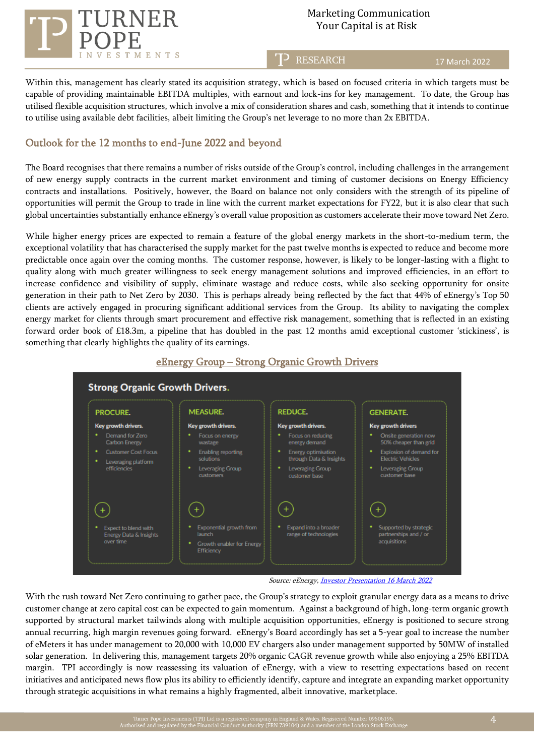

T<sub>2</sub> RESEARCH

17 March 2022

Within this, management has clearly stated its acquisition strategy, which is based on focused criteria in which targets must be capable of providing maintainable EBITDA multiples, with earnout and lock-ins for key management. To date, the Group has utilised flexible acquisition structures, which involve a mix of consideration shares and cash, something that it intends to continue to utilise using available debt facilities, albeit limiting the Group's net leverage to no more than 2x EBITDA.

### Outlook for the 12 months to end-June 2022 and beyond

The Board recognises that there remains a number of risks outside of the Group's control, including challenges in the arrangement of new energy supply contracts in the current market environment and timing of customer decisions on Energy Efficiency contracts and installations. Positively, however, the Board on balance not only considers with the strength of its pipeline of opportunities will permit the Group to trade in line with the current market expectations for FY22, but it is also clear that such global uncertainties substantially enhance eEnergy's overall value proposition as customers accelerate their move toward Net Zero.

While higher energy prices are expected to remain a feature of the global energy markets in the short-to-medium term, the exceptional volatility that has characterised the supply market for the past twelve months is expected to reduce and become more predictable once again over the coming months. The customer response, however, is likely to be longer-lasting with a flight to quality along with much greater willingness to seek energy management solutions and improved efficiencies, in an effort to increase confidence and visibility of supply, eliminate wastage and reduce costs, while also seeking opportunity for onsite generation in their path to Net Zero by 2030. This is perhaps already being reflected by the fact that 44% of eEnergy's Top 50 clients are actively engaged in procuring significant additional services from the Group. Its ability to navigating the complex energy market for clients through smart procurement and effective risk management, something that is reflected in an existing forward order book of £18.3m, a pipeline that has doubled in the past 12 months amid exceptional customer 'stickiness', is something that clearly highlights the quality of its earnings.



# eEnergy Group – Strong Organic Growth Drivers

Source: eEnergy, *Investor Presentation 16 March 2022* 

With the rush toward Net Zero continuing to gather pace, the Group's strategy to exploit granular energy data as a means to drive customer change at zero capital cost can be expected to gain momentum. Against a background of high, long-term organic growth supported by structural market tailwinds along with multiple acquisition opportunities, eEnergy is positioned to secure strong annual recurring, high margin revenues going forward. eEnergy's Board accordingly has set a 5-year goal to increase the number of eMeters it has under management to 20,000 with 10,000 EV chargers also under management supported by 50MW of installed solar generation. In delivering this, management targets 20% organic CAGR revenue growth while also enjoying a 25% EBITDA margin. TPI accordingly is now reassessing its valuation of eEnergy, with a view to resetting expectations based on recent initiatives and anticipated news flow plus its ability to efficiently identify, capture and integrate an expanding market opportunity through strategic acquisitions in what remains a highly fragmented, albeit innovative, marketplace.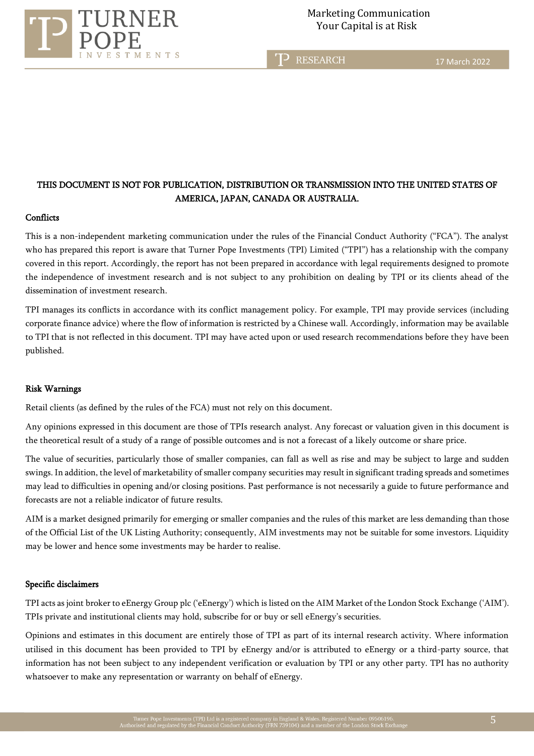

T<sub>2</sub> RESEARCH

17 March 2022

## THIS DOCUMENT IS NOT FOR PUBLICATION, DISTRIBUTION OR TRANSMISSION INTO THE UNITED STATES OF AMERICA, JAPAN, CANADA OR AUSTRALIA.

#### **Conflicts**

This is a non-independent marketing communication under the rules of the Financial Conduct Authority ("FCA"). The analyst who has prepared this report is aware that Turner Pope Investments (TPI) Limited ("TPI") has a relationship with the company covered in this report. Accordingly, the report has not been prepared in accordance with legal requirements designed to promote the independence of investment research and is not subject to any prohibition on dealing by TPI or its clients ahead of the dissemination of investment research.

TPI manages its conflicts in accordance with its conflict management policy. For example, TPI may provide services (including corporate finance advice) where the flow of information is restricted by a Chinese wall. Accordingly, information may be available to TPI that is not reflected in this document. TPI may have acted upon or used research recommendations before they have been published.

#### Risk Warnings

Retail clients (as defined by the rules of the FCA) must not rely on this document.

Any opinions expressed in this document are those of TPIs research analyst. Any forecast or valuation given in this document is the theoretical result of a study of a range of possible outcomes and is not a forecast of a likely outcome or share price.

The value of securities, particularly those of smaller companies, can fall as well as rise and may be subject to large and sudden swings. In addition, the level of marketability of smaller company securities may result in significant trading spreads and sometimes may lead to difficulties in opening and/or closing positions. Past performance is not necessarily a guide to future performance and forecasts are not a reliable indicator of future results.

AIM is a market designed primarily for emerging or smaller companies and the rules of this market are less demanding than those of the Official List of the UK Listing Authority; consequently, AIM investments may not be suitable for some investors. Liquidity may be lower and hence some investments may be harder to realise.

#### Specific disclaimers

TPI acts as joint broker to eEnergy Group plc ('eEnergy') which is listed on the AIM Market of the London Stock Exchange ('AIM'). TPIs private and institutional clients may hold, subscribe for or buy or sell eEnergy's securities.

Opinions and estimates in this document are entirely those of TPI as part of its internal research activity. Where information utilised in this document has been provided to TPI by eEnergy and/or is attributed to eEnergy or a third-party source, that information has not been subject to any independent verification or evaluation by TPI or any other party. TPI has no authority whatsoever to make any representation or warranty on behalf of eEnergy.